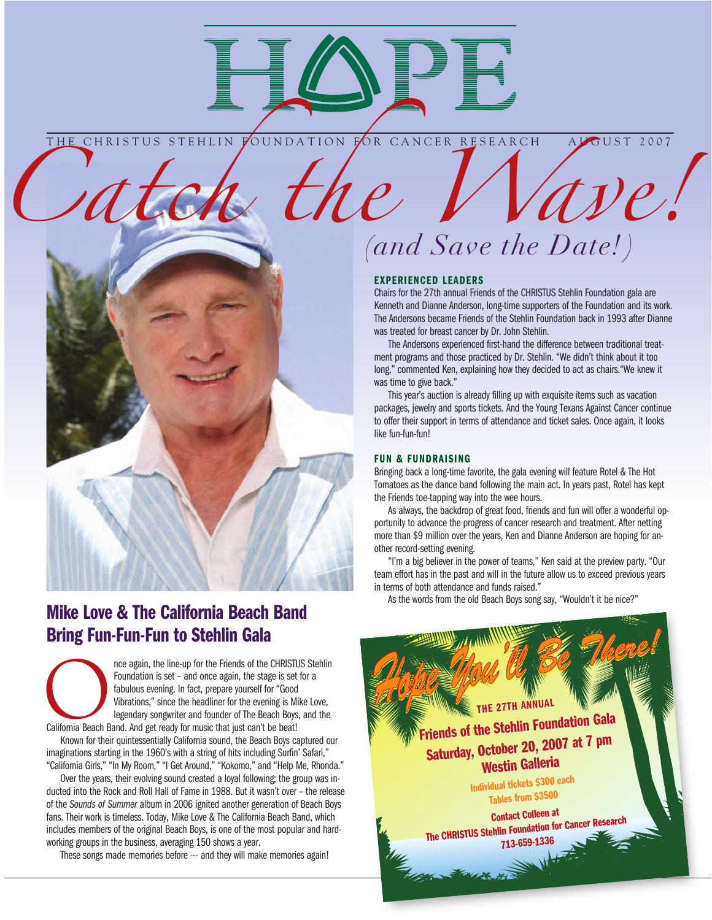

THE CHRISTUS STEHLIN FOUNDATION FOR CANCER RESEARCH ALGUST 2007



# Mike Love & The California Beach Band Bring Fun-Fun-Fun to Stehlin Gala

nce again, the line-up for the Friends of the CHRISTUS Stehlin<br>
Foundation is set – and once again, the stage is set for a<br>
fabulous evening. In fact, prepare yourself for "Good<br>
Vibrations," since the headliner for the ev Foundation is set – and once again, the stage is set for a fabulous evening. In fact, prepare yourself for "Good Vibrations," since the headliner for the evening is Mike Love, legendary songwriter and founder of The Beach Boys, and the

Known for their quintessentially California sound, the Beach Boys captured our imaginations starting in the 1960's with a string of hits including Surfin' Safari," "California Girls," "In My Room," "I Get Around," "Kokomo," and "Help Me, Rhonda."

Over the years, their evolving sound created a loyal following; the group was inducted into the Rock and Roll Hall of Fame in 1988. But it wasn't over – the release of the *Sounds of Summer* album in 2006 ignited another generation of Beach Boys fans. Their work is timeless. Today, Mike Love & The California Beach Band, which includes members of the original Beach Boys, is one of the most popular and hardworking groups in the business, averaging 150 shows a year.

These songs made memories before --- and they will make memories again!

# *Catch the Wave! (and Save the Date! )*

#### EXPERIENCED LEADERS

Chairs for the 27th annual Friends of the CHRISTUS Stehlin Foundation gala are Kenneth and Dianne Anderson, long-time supporters of the Foundation and its work. The Andersons became Friends of the Stehlin Foundation back in 1993 after Dianne was treated for breast cancer by Dr. John Stehlin.

The Andersons experienced first-hand the difference between traditional treatment programs and those practiced by Dr. Stehlin. "We didn't think about it too long," commented Ken, explaining how they decided to act as chairs."We knew it was time to give back."

This year's auction is already filling up with exquisite items such as vacation packages, jewelry and sports tickets. And the Young Texans Against Cancer continue to offer their support in terms of attendance and ticket sales. Once again, it looks like fun-fun-fun!

#### FUN & FUNDRAISING

Bringing back a long-time favorite, the gala evening will feature Rotel & The Hot Tomatoes as the dance band following the main act. In years past, Rotel has kept the Friends toe-tapping way into the wee hours.

As always, the backdrop of great food, friends and fun will offer a wonderful opportunity to advance the progress of cancer research and treatment. After netting more than \$9 million over the years, Ken and Dianne Anderson are hoping for another record-setting evening.

"I'm a big believer in the power of teams," Ken said at the preview party. "Our team effort has in the past and will in the future allow us to exceed previous years in terms of both attendance and funds raised."

As the words from the old Beach Boys song say, "Wouldn't it be nice?"

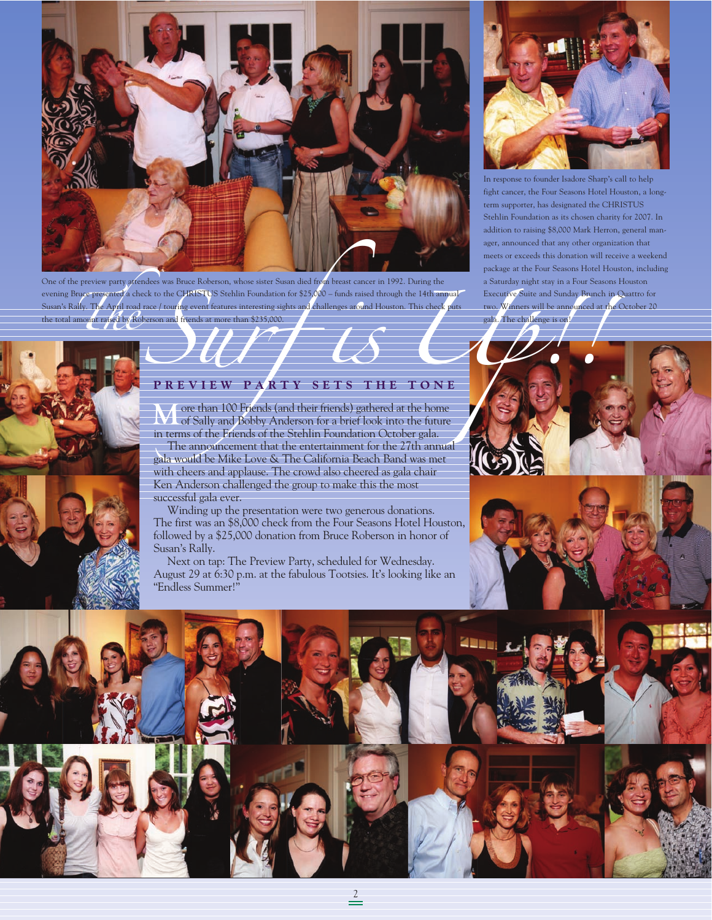

One of the preview party attendees was Bruce Roberson, whose sister Susan died from breast cancer in 1992. During the evening Bruce presented a check to the CHRISTUS Stehlin Foundation for \$25,000 – funds raised through the 14th annual Susan's Rally. The April road race / touring event features interesting sights and challenges around Houston. This check puts the total amount raised by Roberson and friends at more than \$235,000.



In response to founder Isadore Sharp's call to help fight cancer, the Four Seasons Hotel Houston, a longterm supporter, has designated the CHRISTUS Stehlin Foundation as its chosen charity for 2007. In addition to raising \$8,000 Mark Herron, general manager, announced that any other organization that meets or exceeds this donation will receive a weekend package at the Four Seasons Hotel Houston, including a Saturday night stay in a Four Seasons Houston Executive Suite and Sunday Brunch in Quattro for two. Winners will be announced at the October 20 gala. The challenge is on!



#### **P R E V I E W P A R T Y S E T S T H E T O N E**

**M**ore than 100 Friends (and their friends) gathered at the home of Sally and Bobby Anderson for a brief look into the future in terms of the Friends of the Stehlin Foundation October gala.

The announcement that the entertainment for the 27th annual gala would be Mike Love & The California Beach Band was met with cheers and applause. The crowd also cheered as gala chair Ken Anderson challenged the group to make this the most successful gala ever.

Winding up the presentation were two generous donations. The first was an \$8,000 check from the Four Seasons Hotel Houston, followed by a \$25,000 donation from Bruce Roberson in honor of Susan's Rally.

Next on tap: The Preview Party, scheduled for Wednesday. August 29 at 6:30 p.m. at the fabulous Tootsies. It's looking like an "Endless Summer!"

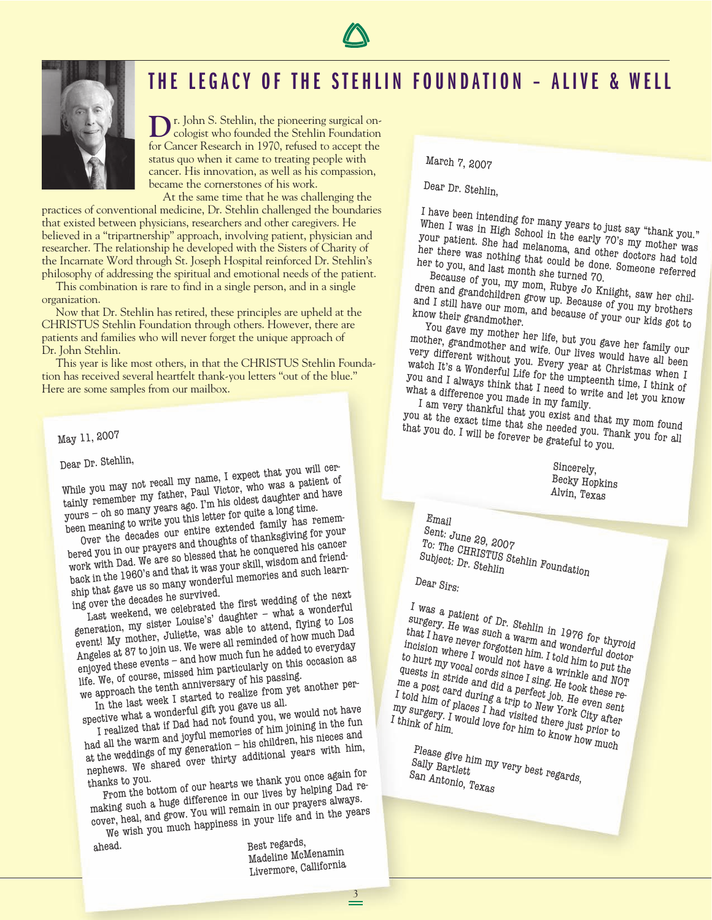



# THE LEGACY OF THE STEHLIN FOUNDATION - ALIVE & WELL

**D**r. John S. Stehlin, the pioneering surgical on-<br>cologist who founded the Stehlin Foundation for Cancer Research in 1970, refused to accept the status quo when it came to treating people with cancer. His innovation, as well as his compassion, became the cornerstones of his work.

At the same time that he was challenging the practices of conventional medicine, Dr. Stehlin challenged the boundaries that existed between physicians, researchers and other caregivers. He believed in a "tripartnership" approach, involving patient, physician and researcher. The relationship he developed with the Sisters of Charity of the Incarnate Word through St. Joseph Hospital reinforced Dr. Stehlin's philosophy of addressing the spiritual and emotional needs of the patient.

This combination is rare to find in a single person, and in a single organization.

Now that Dr. Stehlin has retired, these principles are upheld at the CHRISTUS Stehlin Foundation through others. However, there are patients and families who will never forget the unique approach of Dr. John Stehlin.

This year is like most others, in that the CHRISTUS Stehlin Foundation has received several heartfelt thank-you letters "out of the blue." Here are some samples from our mailbox.

## May 11, 2007

### Dear Dr. Stehlin,

While you may not recall my name, I expect that you will certainly remember my father, Paul Victor, who was a patient of tainly remember my father, Paul Victor, who yours – oh so many years ago. I'm his oldest daughter and have

been meaning to write you this letter for quite a long time. Over the decades our entire extended family has remem-

bered you in our prayers and thoughts of thanksgiving for your work with Dad. We are so blessed that he conquered his cancer back in the 1960's and that it was your skill, wisdom and friendship that gave us so many wonderful memories and such learn-

ing over the decades he survived. Last weekend, we celebrated the first wedding of the next

generation, my sister Louise's' daughter – what a wonderful event! My mother, Juliette, was able to attend, flying to Los Angeles at 87 to join us. We were all reminded of how much Dad enjoyed these events – and how much fun he added to everyday life. We, of course, missed him particularly on this occasion as

we approach the tenth anniversary of his passing. In the last week I started to realize from yet another per-

spective what a wonderful gift you gave us all. I realized that if Dad had not found you, we would not have

had all the warm and joyful memories of him joining in the fun at the weddings of my generation – his children, his nieces and nephews. We shared over thirty additional years with him,

thanks to you. From the bottom of our hearts we thank you once again for

making such a huge difference in our lives by helping Dad recover, heal, and grow. You will remain in our prayers always. We wish you much happiness in your life and in the years

ahead.

Best regards, Madeline McMenamin Livermore, Callifornia March 7, 2007

Dear Dr. Stehlin,

I have been intending for many years to just say "thank you." When I was in High School in the early 70's my mother was your patient. She had melanoma, and other doctors had told her there was nothing that could be done. Someone referred<br>her to you, and last month she turned zo.<br>Because referred Because of you my men B. Lurned 70.

Because of you, my mom, Rubye Jo Kniight, saw her children and grandchildren grow up. Because of you my brothers and I still have our mom, and because of you my brothers<br>know their grandmother.<br>You see Your our kids got to

You gave my mother her life, but you gave her family our

mother, grandmother and wife. Our lives would have all been very different without you. Every year at Christmas when I watch It's a Wonderful Life for the umpteenth time, I think of you and I always think that I need to write and let you know<br>what a difference you made in my family. what a difference you made in my family.

I am very thankful that you exist and that my mom found<br>at the exact time that she needed you my mom found

you at the exact time that she needed you. Thank you for all that you do. I will be forever be grateful to you.

> Sincerely, Becky Hopkins Alvin, Texas

Email Sent: June 29, 2007<br>To: The arry, 2007 <sup>To:</sup> The CHRISTUS Stehlin Foundation<br>Subject: Dr. Stehlin Subject: Dr. Stehlin<br>Dear Sirs:

I was a patient of Dr. Stehlin in 1976 for thyroid surgery. He was such a warm and wonderful doctor that I have never forgotten him. I told him to put the incision where I would not have a wrinkle and NOT to hurt my vocal cords since I sing. He took these requests in stride and did a perfect job. He even sent<br>I told him of places I had visited there even sent<br>I think of him would love for him to the place prior to me a post card during a trip to New York City after I told him of places I had visited there just prior to my surgery. I would love for him to know how much think of him.<br>I think of him.<br>Not how how much how much I think of  $_{him}$ 

Please give him my very best regards,<br>Sally Bartlett<br><sup>San</sup> Antonio m Sally Bartlett Lunder